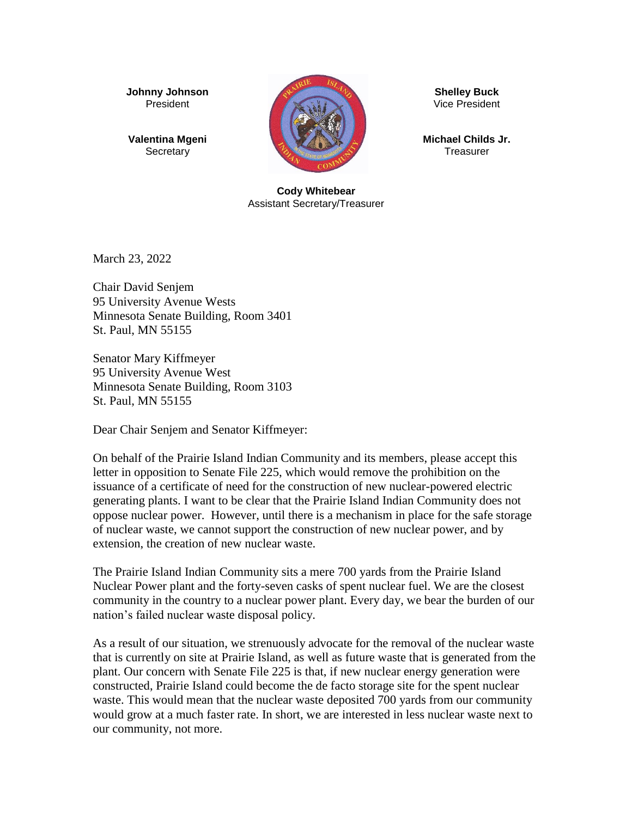**Johnny Johnson** President

**Valentina Mgeni Secretary** 



**Shelley Buck** Vice President

**Michael Childs Jr. Treasurer** 

**Cody Whitebear** Assistant Secretary/Treasurer

March 23, 2022

Chair David Senjem 95 University Avenue Wests Minnesota Senate Building, Room 3401 St. Paul, MN 55155

Senator Mary Kiffmeyer 95 University Avenue West Minnesota Senate Building, Room 3103 St. Paul, MN 55155

Dear Chair Senjem and Senator Kiffmeyer:

On behalf of the Prairie Island Indian Community and its members, please accept this letter in opposition to Senate File 225, which would remove the prohibition on the issuance of a certificate of need for the construction of new nuclear-powered electric generating plants. I want to be clear that the Prairie Island Indian Community does not oppose nuclear power. However, until there is a mechanism in place for the safe storage of nuclear waste, we cannot support the construction of new nuclear power, and by extension, the creation of new nuclear waste.

The Prairie Island Indian Community sits a mere 700 yards from the Prairie Island Nuclear Power plant and the forty-seven casks of spent nuclear fuel. We are the closest community in the country to a nuclear power plant. Every day, we bear the burden of our nation's failed nuclear waste disposal policy.

As a result of our situation, we strenuously advocate for the removal of the nuclear waste that is currently on site at Prairie Island, as well as future waste that is generated from the plant. Our concern with Senate File 225 is that, if new nuclear energy generation were constructed, Prairie Island could become the de facto storage site for the spent nuclear waste. This would mean that the nuclear waste deposited 700 yards from our community would grow at a much faster rate. In short, we are interested in less nuclear waste next to our community, not more.